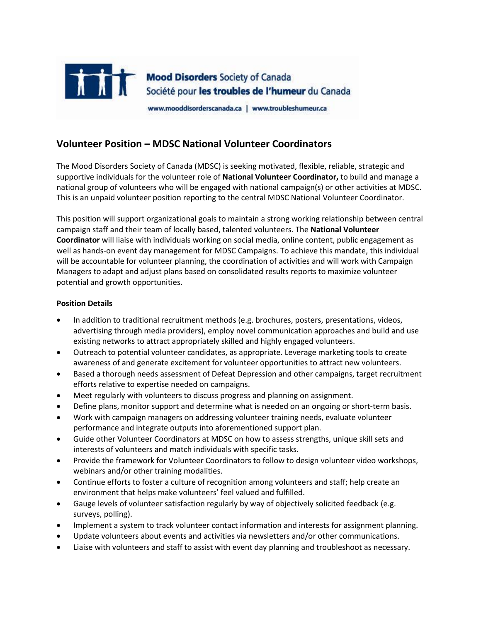

## **Volunteer Position – MDSC National Volunteer Coordinators**

The Mood Disorders Society of Canada (MDSC) is seeking motivated, flexible, reliable, strategic and supportive individuals for the volunteer role of **National Volunteer Coordinator,** to build and manage a national group of volunteers who will be engaged with national campaign(s) or other activities at MDSC. This is an unpaid volunteer position reporting to the central MDSC National Volunteer Coordinator.

This position will support organizational goals to maintain a strong working relationship between central campaign staff and their team of locally based, talented volunteers. The **National Volunteer Coordinator** will liaise with individuals working on social media, online content, public engagement as well as hands-on event day management for MDSC Campaigns. To achieve this mandate, this individual will be accountable for volunteer planning, the coordination of activities and will work with Campaign Managers to adapt and adjust plans based on consolidated results reports to maximize volunteer potential and growth opportunities.

## **Position Details**

- In addition to traditional recruitment methods (e.g. brochures, posters, presentations, videos, advertising through media providers), employ novel communication approaches and build and use existing networks to attract appropriately skilled and highly engaged volunteers.
- Outreach to potential volunteer candidates, as appropriate. Leverage marketing tools to create awareness of and generate excitement for volunteer opportunities to attract new volunteers.
- Based a thorough needs assessment of Defeat Depression and other campaigns, target recruitment efforts relative to expertise needed on campaigns.
- Meet regularly with volunteers to discuss progress and planning on assignment.
- Define plans, monitor support and determine what is needed on an ongoing or short-term basis.
- Work with campaign managers on addressing volunteer training needs, evaluate volunteer performance and integrate outputs into aforementioned support plan.
- Guide other Volunteer Coordinators at MDSC on how to assess strengths, unique skill sets and interests of volunteers and match individuals with specific tasks.
- Provide the framework for Volunteer Coordinators to follow to design volunteer video workshops, webinars and/or other training modalities.
- Continue efforts to foster a culture of recognition among volunteers and staff; help create an environment that helps make volunteers' feel valued and fulfilled.
- Gauge levels of volunteer satisfaction regularly by way of objectively solicited feedback (e.g. surveys, polling).
- Implement a system to track volunteer contact information and interests for assignment planning.
- Update volunteers about events and activities via newsletters and/or other communications.
- Liaise with volunteers and staff to assist with event day planning and troubleshoot as necessary.